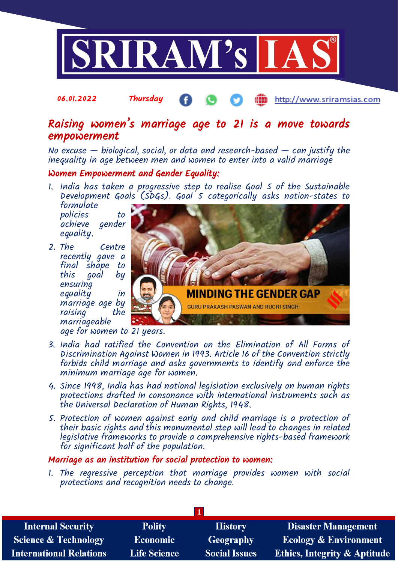

## 06.01.2022 Thursday http://www.sriramsias.com

# Raising women's marriage age to 21 is a move towards empowerment

No excuse  $-$  biological, social, or data and research-based  $-$  can justify the inequality in age between men and women to enter into a valid marriage

### Women Empowerment and Gender Equality:

1. India has taken a progressive step to realise Goal 5 of the Sustainable Development Goals (SDGs). Goal 5 categorically asks nation-states to formulate

policies to achieve gender equality.

2. The Centre recently gave a final shape to this goal by ensuring equality in marriage age by raising marriageable



age for women to 21 years.

- 3. India had ratified the Convention on the Elimination of All Forms of Discrimination Against Women in 1993. Article 16 of the Convention strictly forbids child marriage and asks governments to identify and enforce the minimum marriage age for women.
- 4. Since 1998, India has had national legislation exclusively on human rights protections drafted in consonance with international instruments such as the Universal Declaration of Human Rights, 1948.
- 5. Protection of women against early and child marriage is a protection of their basic rights and this monumental step will lead to changes in related legislative frameworks to provide a comprehensive rights-based framework for significant half of the population.

#### Marriage as an institution for social protection to women:

1. The regressive perception that marriage provides women with social protections and recognition needs to change.

| <b>Internal Security</b>        | <b>Polity</b>       | <b>History</b>       | <b>Disaster Management</b>              |
|---------------------------------|---------------------|----------------------|-----------------------------------------|
| <b>Science &amp; Technology</b> | <b>Economic</b>     | <b>Geography</b>     | <b>Ecology &amp; Environment</b>        |
| <b>International Relations</b>  | <b>Life Science</b> | <b>Social Issues</b> | <b>Ethics, Integrity &amp; Aptitude</b> |